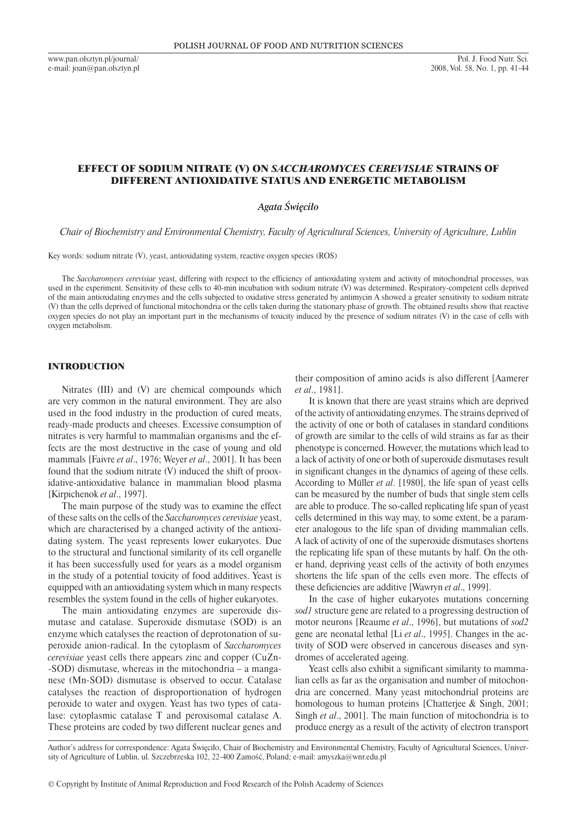www.pan.olsztyn.pl/journal/ e-mail: joan@pan.olsztyn.pl

# EFFECT OF SODIUM NITRATE (V) ON *SACCHAROMYCES CEREVISIAE* STRAINS OF DIFFERENT ANTIOXIDATIVE STATUS AND ENERGETIC METABOLISM

# *Agata Święciło*

*Chair of Biochemistry and Environmental Chemistry, Faculty of Agricultural Sciences, University of Agriculture, Lublin*

Key words: sodium nitrate (V), yeast, antioxidating system, reactive oxygen species (ROS)

The *Saccharomyces cerevisiae* yeast, differing with respect to the efficiency of antioxidating system and activity of mitochondrial processes, was used in the experiment. Sensitivity of these cells to 40-min incubation with sodium nitrate (V) was determined. Respiratory-competent cells deprived of the main antioxidating enzymes and the cells subjected to oxidative stress generated by antimycin A showed a greater sensitivity to sodium nitrate (V) than the cells deprived of functional mitochondria or the cells taken during the stationary phase of growth. The obtained results show that reactive oxygen species do not play an important part in the mechanisms of toxicity induced by the presence of sodium nitrates (V) in the case of cells with oxygen metabolism.

### INTRODUCTION

Nitrates (III) and (V) are chemical compounds which are very common in the natural environment. They are also used in the food industry in the production of cured meats, ready-made products and cheeses. Excessive consumption of nitrates is very harmful to mammalian organisms and the effects are the most destructive in the case of young and old mammals [Faivre *et al*., 1976; Weyer *et al*., 2001]. It has been found that the sodium nitrate (V) induced the shift of prooxidative-antioxidative balance in mammalian blood plasma [Kirpichenok *et al*., 1997].

The main purpose of the study was to examine the effect of these salts on the cells of the *Saccharomyces cerevisiae* yeast, which are characterised by a changed activity of the antioxidating system. The yeast represents lower eukaryotes. Due to the structural and functional similarity of its cell organelle it has been successfully used for years as a model organism in the study of a potential toxicity of food additives. Yeast is equipped with an antioxidating system which in many respects resembles the system found in the cells of higher eukaryotes.

The main antioxidating enzymes are superoxide dismutase and catalase. Superoxide dismutase (SOD) is an enzyme which catalyses the reaction of deprotonation of superoxide anion-radical. In the cytoplasm of *Saccharomyces cerevisiae* yeast cells there appears zinc and copper (CuZn-SOD) dismutase, whereas in the mitochondria – a manganese (Mn‑SOD) dismutase is observed to occur. Catalase catalyses the reaction of disproportionation of hydrogen peroxide to water and oxygen. Yeast has two types of catalase: cytoplasmic catalase T and peroxisomal catalase A. These proteins are coded by two different nuclear genes and their composition of amino acids is also different [Aamerer *et al*., 1981].

It is known that there are yeast strains which are deprived of the activity of antioxidating enzymes. The strains deprived of the activity of one or both of catalases in standard conditions of growth are similar to the cells of wild strains as far as their phenotype is concerned. However, the mutations which lead to a lack of activity of one or both of superoxide dismutases result in significant changes in the dynamics of ageing of these cells. According to Müller *et al*. [1980], the life span of yeast cells can be measured by the number of buds that single stem cells are able to produce. The so-called replicating life span of yeast cells determined in this way may, to some extent, be a parameter analogous to the life span of dividing mammalian cells. A lack of activity of one of the superoxide dismutases shortens the replicating life span of these mutants by half. On the other hand, depriving yeast cells of the activity of both enzymes shortens the life span of the cells even more. The effects of these deficiencies are additive [Wawryn *et al*., 1999].

In the case of higher eukaryotes mutations concerning *sod1* structure gene are related to a progressing destruction of motor neurons [Reaume *et al*., 1996], but mutations of *sod2* gene are neonatal lethal [Li *et al*., 1995]. Changes in the activity of SOD were observed in cancerous diseases and syndromes of accelerated ageing.

Yeast cells also exhibit a significant similarity to mammalian cells as far as the organisation and number of mitochondria are concerned. Many yeast mitochondrial proteins are homologous to human proteins [Chatterjee & Singh, 2001; Singh *et al*., 2001]. The main function of mitochondria is to produce energy as a result of the activity of electron transport

Author's address for correspondence: Agata Święciło, Chair of Biochemistry and Environmental Chemistry, Faculty of Agricultural Sciences, University of Agriculture of Lublin, ul. Szczebrzeska 102, 22-400 Zamość, Poland; e-mail: amyszka@wnr.edu.pl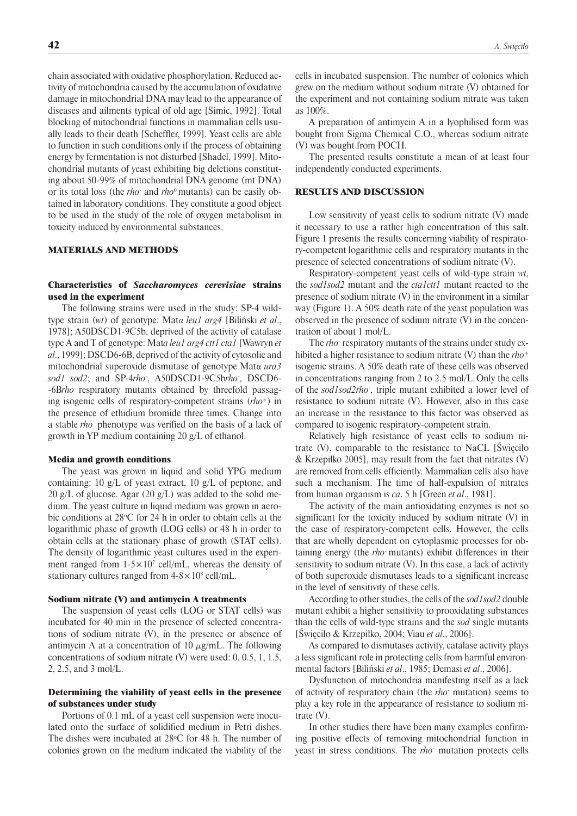chain associated with oxidative phosphorylation. Reduced activity of mitochondria caused by the accumulation of oxidative damage in mitochondrial DNA may lead to the appearance of diseases and ailments typical of old age [Simic, 1992]. Total blocking of mitochondrial functions in mammalian cells usually leads to their death [Scheffler, 1999]. Yeast cells are able to function in such conditions only if the process of obtaining energy by fermentation is not disturbed [Shadel, 1999]. Mitochondrial mutants of yeast exhibiting big deletions constituting about 50-99% of mitochondrial DNA genome (mt DNA) or its total loss (the *rho*- and *rho*0 mutants) can be easily obtained in laboratory conditions. They constitute a good object to be used in the study of the role of oxygen metabolism in toxicity induced by environmental substances.

## MATERIALS AND METHODS

# Characteristics of *Saccharomyces cerevisiae* strains used in the experiment

The following strains were used in the study: SP-4 wildtype strain (*wt*) of genotype: Mat*α leu1 arg4* [Biliński *et al*., 1978]; A50DSCD1-9C5b, deprived of the activity of catalase type A and T of genotype: Mat*a leu1 arg4 ctt1 cta1* [Wawryn *et al*., 1999]; DSCD6-6B, deprived of the activity of cytosolic and mitochondrial superoxide dismutase of genotype Matα *ura3 sod1 sod2*; and SP-4*rho*- , A50DSCD1-9C5b*rho*- , DSCD6-6B*rho*- respiratory mutants obtained by threefold passaging isogenic cells of respiratory-competent strains (*rho*<sup>+</sup>) in the presence of ethidium bromide three times. Change into a stable *rho*- phenotype was verified on the basis of a lack of growth in YP medium containing 20 g/L of ethanol.

### Media and growth conditions

The yeast was grown in liquid and solid YPG medium containing: 10 g/L of yeast extract, 10 g/L of peptone, and 20 g/L of glucose. Agar (20 g/L) was added to the solid medium. The yeast culture in liquid medium was grown in aerobic conditions at  $28^{\circ}$ C for 24 h in order to obtain cells at the logarithmic phase of growth (LOG cells) or 48 h in order to obtain cells at the stationary phase of growth (STAT cells). The density of logarithmic yeast cultures used in the experiment ranged from  $1-5 \times 10^7$  cell/mL, whereas the density of stationary cultures ranged from  $4-8\times10^8$  cell/mL.

#### Sodium nitrate (V) and antimycin A treatments

The suspension of yeast cells (LOG or STAT cells) was incubated for 40 min in the presence of selected concentrations of sodium nitrate (V), in the presence or absence of antimycin A at a concentration of 10  $\mu$ g/mL. The following concentrations of sodium nitrate (V) were used: 0, 0.5, 1, 1.5, 2, 2.5, and 3 mol/L.

# Determining the viability of yeast cells in the presence of substances under study

Portions of 0.1 mL of a yeast cell suspension were inoculated onto the surface of solidified medium in Petri dishes. The dishes were incubated at  $28^{\circ}$ C for 48 h. The number of colonies grown on the medium indicated the viability of the

cells in incubated suspension. The number of colonies which grew on the medium without sodium nitrate (V) obtained for the experiment and not containing sodium nitrate was taken as 100%.

A preparation of antimycin A in a lyophilised form was bought from Sigma Chemical C.O., whereas sodium nitrate (V) was bought from POCH.

The presented results constitute a mean of at least four independently conducted experiments.

### RESULTS AND DISCUSSION

Low sensitivity of yeast cells to sodium nitrate (V) made it necessary to use a rather high concentration of this salt. Figure 1 presents the results concerning viability of respiratory-competent logarithmic cells and respiratory mutants in the presence of selected concentrations of sodium nitrate (V).

Respiratory-competent yeast cells of wild-type strain *wt*, the *sod1sod2* mutant and the *cta1ctt1* mutant reacted to the presence of sodium nitrate (V) in the environment in a similar way (Figure 1). A 50% death rate of the yeast population was observed in the presence of sodium nitrate (V) in the concentration of about 1 mol/L.

The *rho*-respiratory mutants of the strains under study exhibited a higher resistance to sodium nitrate (V) than the *rho*<sup>+</sup> isogenic strains. A 50% death rate of these cells was observed in concentrations ranging from 2 to 2.5 mol/L. Only the cells of the *sod1sod2rho*- , triple mutant exhibited a lower level of resistance to sodium nitrate (V). However, also in this case an increase in the resistance to this factor was observed as compared to isogenic respiratory-competent strain.

Relatively high resistance of yeast cells to sodium nitrate (V), comparable to the resistance to NaCL [Święciło & Krzepiłko 2005], may result from the fact that nitrates (V) are removed from cells efficiently. Mammalian cells also have such a mechanism. The time of half-expulsion of nitrates from human organism is *ca*. 5 h [Green *et al*., 1981].

The activity of the main antioxidating enzymes is not so significant for the toxicity induced by sodium nitrate (V) in the case of respiratory-competent cells. However, the cells that are wholly dependent on cytoplasmic processes for obtaining energy (the *rho*- mutants) exhibit differences in their sensitivity to sodium nitrate (V). In this case, a lack of activity of both superoxide dismutases leads to a significant increase in the level of sensitivity of these cells.

According to other studies, the cells of the *sod1sod2* double mutant exhibit a higher sensitivity to prooxidating substances than the cells of wild-type strains and the *sod* single mutants [Święciło & Krzepiłko, 2004; Viau *et al*., 2006].

As compared to dismutases activity, catalase activity plays a less significant role in protecting cells from harmful environmental factors [Biliński *et al*., 1985; Demasi *et al*., 2006].

Dysfunction of mitochondria manifesting itself as a lack of activity of respiratory chain (the *rho*- mutation) seems to play a key role in the appearance of resistance to sodium nitrate (V).

In other studies there have been many examples confirming positive effects of removing mitochondrial function in yeast in stress conditions. The *rho*- mutation protects cells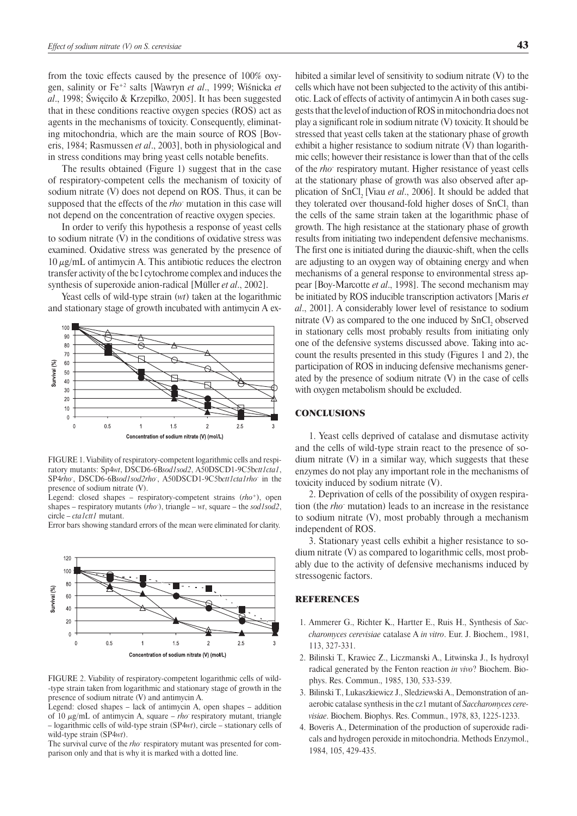from the toxic effects caused by the presence of 100% oxygen, salinity or Fe+2 salts [Wawryn *et al*., 1999; Wiśnicka *et al*., 1998; Święciło & Krzepiłko, 2005]. It has been suggested that in these conditions reactive oxygen species (ROS) act as agents in the mechanisms of toxicity. Consequently, eliminating mitochondria, which are the main source of ROS [Boveris, 1984; Rasmussen *et al*., 2003], both in physiological and in stress conditions may bring yeast cells notable benefits.

The results obtained (Figure 1) suggest that in the case of respiratory-competent cells the mechanism of toxicity of sodium nitrate (V) does not depend on ROS. Thus, it can be supposed that the effects of the *rho*- mutation in this case will not depend on the concentration of reactive oxygen species.

In order to verify this hypothesis a response of yeast cells to sodium nitrate (V) in the conditions of oxidative stress was examined. Oxidative stress was generated by the presence of  $10 \mu g/mL$  of antimycin A. This antibiotic reduces the electron transfer activity of the bc l cytochrome complex and induces the synthesis of superoxide anion-radical [Müller *et al*., 2002].

Yeast cells of wild-type strain (*wt*) taken at the logarithmic and stationary stage of growth incubated with antimycin A ex-



FIGURE 1. Viability of respiratory-competent logarithmic cells and respiratory mutants: Sp4*wt*, DSCD6-6B*sod1sod2*, A50DSCD1-9C5b*ctt1cta1*, SP4*rho*- , DSCD6-6B*sod1sod2rho*- , A50DSCD1-9C5b*ctt1cta1rho*- in the presence of sodium nitrate (V).

Legend: closed shapes – respiratory-competent strains (*rho*+), open shapes – respiratory mutants (*rho*- ), triangle – *wt*, square – the *sod1sod2*, circle – *cta1ctt1* mutant.

Error bars showing standard errors of the mean were eliminated for clarity.



FIGURE 2. Viability of respiratory-competent logarithmic cells of wildtype strain taken from logarithmic and stationary stage of growth in the presence of sodium nitrate (V) and antimycin A.

Legend: closed shapes – lack of antimycin A, open shapes – addition of 10  $\mu$ g/mL of antimycin A, square – *rho*<sup>-</sup> respiratory mutant, triangle – logarithmic cells of wild-type strain (SP4*wt*), circle – stationary cells of wild-type strain (SP4*wt*).

The survival curve of the *rho* respiratory mutant was presented for comparison only and that is why it is marked with a dotted line.

hibited a similar level of sensitivity to sodium nitrate (V) to the cells which have not been subjected to the activity of this antibiotic. Lack of effects of activity of antimycin A in both cases suggests that the level of induction of ROS in mitochondria does not play a significant role in sodium nitrate (V) toxicity. It should be stressed that yeast cells taken at the stationary phase of growth exhibit a higher resistance to sodium nitrate (V) than logarithmic cells; however their resistance is lower than that of the cells of the *rho*- respiratory mutant. Higher resistance of yeast cells at the stationary phase of growth was also observed after application of SnCl<sub>2</sub> [Viau *et al.*, 2006]. It should be added that they tolerated over thousand-fold higher doses of  $SnCl<sub>2</sub>$  than the cells of the same strain taken at the logarithmic phase of growth. The high resistance at the stationary phase of growth results from initiating two independent defensive mechanisms. The first one is initiated during the diauxic-shift, when the cells are adjusting to an oxygen way of obtaining energy and when mechanisms of a general response to environmental stress appear [Boy-Marcotte *et al*., 1998]. The second mechanism may be initiated by ROS inducible transcription activators [Maris *et al*., 2001]. A considerably lower level of resistance to sodium nitrate (V) as compared to the one induced by  $SnCl<sub>2</sub>$  observed in stationary cells most probably results from initiating only one of the defensive systems discussed above. Taking into account the results presented in this study (Figures 1 and 2), the participation of ROS in inducing defensive mechanisms generated by the presence of sodium nitrate (V) in the case of cells with oxygen metabolism should be excluded.

### **CONCLUSIONS**

1. Yeast cells deprived of catalase and dismutase activity and the cells of wild-type strain react to the presence of sodium nitrate (V) in a similar way, which suggests that these enzymes do not play any important role in the mechanisms of toxicity induced by sodium nitrate (V).

2. Deprivation of cells of the possibility of oxygen respiration (the *rho*- mutation) leads to an increase in the resistance to sodium nitrate (V), most probably through a mechanism independent of ROS.

3. Stationary yeast cells exhibit a higher resistance to sodium nitrate (V) as compared to logarithmic cells, most probably due to the activity of defensive mechanisms induced by stressogenic factors.

### **REFERENCES**

- 1. Ammerer G., Richter K., Hartter E., Ruis H., Synthesis of *Saccharomyces cerevisiae* catalase A *in vitro*. Eur. J. Biochem., 1981, 113, 327-331.
- 2. Bilinski T., Krawiec Z., Liczmanski A., Litwinska J., Is hydroxyl radical generated by the Fenton reaction *in vivo*? Biochem. Biophys. Res. Commun., 1985, 130, 533-539.
- 3. Bilinski T., Lukaszkiewicz J., Sledziewski A., Demonstration of anaerobic catalase synthesis in the cz1 mutant of *Saccharomyces cerevisiae*. Biochem. Biophys. Res. Commun., 1978, 83, 1225-1233.
- 4. Boveris A., Determination of the production of superoxide radicals and hydrogen peroxide in mitochondria. Methods Enzymol., 1984, 105, 429-435.